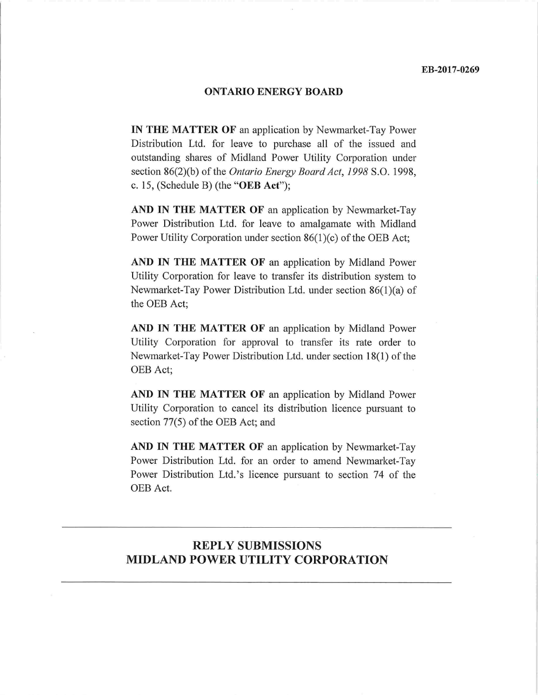#### ONTARIO ENERGY BOARD

IN THE MATTER OF an application by Newmarket-Tay Power Distribution Ltd. for leave to purchase all of the issued and outstanding shares of Midland Power Utility Corporation under section 86(2)(b) of the *Ontario Energy Board Act*, 1998 S.O. 1998, c. 15, (Schedule B) (the "OEB Act");

AND IN THE MATTER OF an application by Newmarket-Tay Power Distribution Ltd. for leave to amalgamate with Midland Power Utility Corporation under section 86(1)(c) of the OEB Act;

AND IN THE MATTER OF an application by Midland Power Utility Corporation for leave to transfer its distribution system to Newmarket-Tay Power Distribution Ltd. under section 86(1)(a) of the OEB Act;

AND IN THE MATTER OF an application by Midland Power Utility Corporation for approval to transfer its rate order to Newmarket-Tay Power Distribution Ltd. under section 18(1) of the OEB Act;

AND IN THE MATTER OF an application by Midland Power Utility Corporation to cancel its distribution licence pursuant to section 77(5) of the OEB Act; and

AND IN THE MATTER OF an application by Newmarket-Tay Power Distribution Ltd. for an order to amend Newmarket-Tay Power Distribution Ltd.'s licence pursuant to section 74 of the OEB Act.

# REPLY SUBMISSIONS MIDLAND POWER UTILITY CORPORATION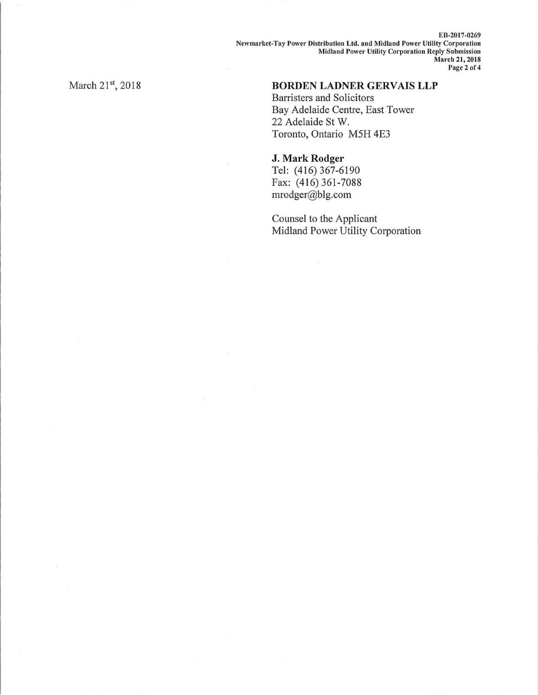EB-2017-0269 Newmarket-Tay Power Distribution Ltd. and Midland Power Utility Corporation Midland Power Utility Corporation Reply Submission March 21, 2018 Page 2 of 4

March 21st, 2018

## BORDEN LADNER GERVAIS LLP

Barristers and Solicitors Bay Adelaide Centre, East Tower 22 Adelaide St W. Toronto, Ontario M5H 4E3

#### J. Mark Rodger

Tel: (416) 367-6190 Fax: (416) 361-7088 mrodger@b1g.com

Counsel to the Applicant Midland Power Utility Corporation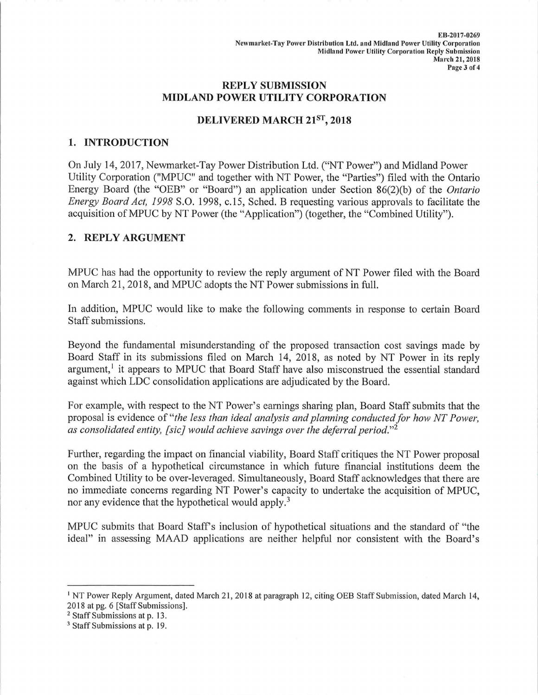### REPLY SUBMISSION MIDLAND POWER UTILITY CORPORATION

## DELIVERED MARCH 21ST, 2018

#### 1. INTRODUCTION

On July 14, 2017, Newmarket-Tay Power Distribution Ltd. ("NT Power") and Midland Power Utility Corporation ("MPUC" and together with NT Power, the "Parties") filed with the Ontario Energy Board (the "OEB" or "Board") an application under Section 86(2)(b) of the *Ontario* Energy Board Act, 1998 S.O. 1998, c.15, Sched. B requesting various approvals to facilitate the acquisition of MPUC by NT Power (the "Application") (together, the "Combined Utility").

### 2. REPLY ARGUMENT

MPUC has had the opportunity to review the reply argument of NT Power filed with the Board on March 21, 2018, and MPUC adopts the NT Power submissions in full.

In addition, MPUC would like to make the following comments in response to certain Board Staff submissions.

Beyond the fundamental misunderstanding of the proposed transaction cost savings made by Board Staff in its submissions filed on March 14, 2018, as noted by NT Power in its reply argument,<sup>1</sup> it appears to MPUC that Board Staff have also misconstrued the essential standard against which LDC consolidation applications are adjudicated by the Board.

For example, with respect to the NT Power's earnings sharing plan, Board Staff submits that the proposal is evidence of "the less than ideal analysis and planning conducted for how NT Power, as consolidated entity, [sic] would achieve savings over the deferral period."<sup>2</sup>

Further, regarding the impact on financial viability, Board Staff critiques the NT Power proposal on the basis of a hypothetical circumstance in which future financial institutions deem the Combined Utility to be over-leveraged. Simultaneously, Board Staff acknowledges that there are no immediate concerns regarding NT Power's capacity to undertake the acquisition of MPUC, nor any evidence that the hypothetical would apply.<sup>3</sup>

MPUC submits that Board Staff's inclusion of hypothetical situations and the standard of "the ideal" in assessing MAAD applications are neither helpful nor consistent with the Board's

<sup>&</sup>lt;sup>1</sup> NT Power Reply Argument, dated March 21, 2018 at paragraph 12, citing OEB Staff Submission, dated March 14, 2018 at pg. 6 [Staff Submissions].

<sup>2</sup> Staff Submissions at p. 13.

<sup>3</sup> Staff Submissions at p. 19.